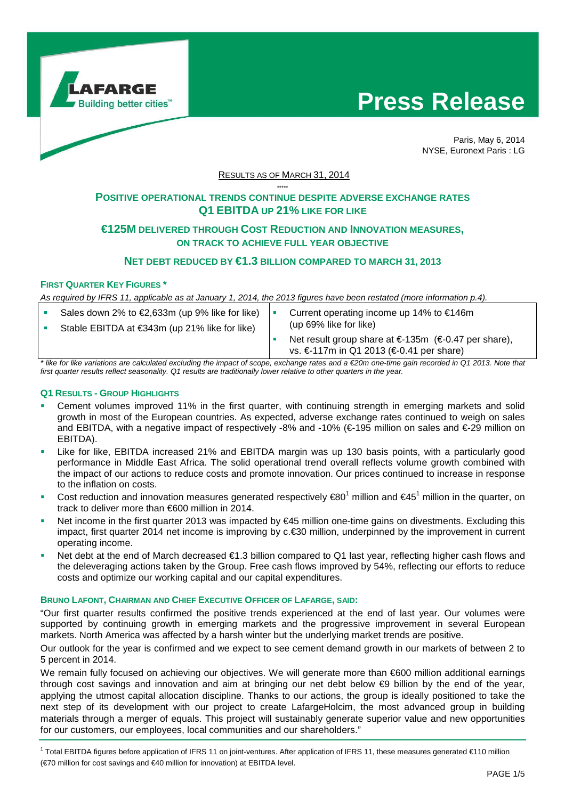

# **Press Release**



Paris, May 6, 2014 NYSE, Euronext Paris : LG

RESULTS AS OF MARCH 31, 2014

#### \*\*\*\*\* **POSITIVE OPERATIONAL TRENDS CONTINUE DESPITE ADVERSE EXCHANGE RATES Q1 EBITDA UP 21% LIKE FOR LIKE**

# **€125M DELIVERED THROUGH COST REDUCTION AND INNOVATION MEASURES, ON TRACK TO ACHIEVE FULL YEAR OBJECTIVE**

# **NET DEBT REDUCED BY €1.3 BILLION COMPARED TO MARCH 31, 2013**

### **FIRST QUARTER KEY FIGURES \***

As required by IFRS 11, applicable as at January 1, 2014, the 2013 figures have been restated (more information p.4).

| Sales down 2% to €2,633m (up 9% like for like)<br>Stable EBITDA at €343m (up 21% like for like)                                             | (up 69% like for like) | Current operating income up 14% to $€146m$                                                       |  |
|---------------------------------------------------------------------------------------------------------------------------------------------|------------------------|--------------------------------------------------------------------------------------------------|--|
|                                                                                                                                             |                        | Net result group share at €-135m (€-0.47 per share),<br>vs. €-117m in Q1 2013 (€-0.41 per share) |  |
| alika far lika variatione ere selevleted oveluding the impost of esence systems retes and e COOm ano time sein reserved in 04.0049. Note th |                        |                                                                                                  |  |

ne time gain recorded in Q1 2013. Note that first quarter results reflect seasonality. Q1 results are traditionally lower relative to other quarters in the year.

#### **Q1 RESULTS - GROUP HIGHLIGHTS**

- Cement volumes improved 11% in the first quarter, with continuing strength in emerging markets and solid growth in most of the European countries. As expected, adverse exchange rates continued to weigh on sales and EBITDA, with a negative impact of respectively -8% and -10% (€-195 million on sales and €-29 million on EBITDA).
- Like for like, EBITDA increased 21% and EBITDA margin was up 130 basis points, with a particularly good performance in Middle East Africa. The solid operational trend overall reflects volume growth combined with the impact of our actions to reduce costs and promote innovation. Our prices continued to increase in response to the inflation on costs.
- Cost reduction and innovation measures generated respectively  $€80<sup>1</sup>$  million and  $€45<sup>1</sup>$  million in the quarter, on track to deliver more than €600 million in 2014.
- Net income in the first quarter 2013 was impacted by €45 million one-time gains on divestments. Excluding this impact, first quarter 2014 net income is improving by c.€30 million, underpinned by the improvement in current operating income.
- Net debt at the end of March decreased €1.3 billion compared to Q1 last year, reflecting higher cash flows and the deleveraging actions taken by the Group. Free cash flows improved by 54%, reflecting our efforts to reduce costs and optimize our working capital and our capital expenditures.

## **BRUNO LAFONT, CHAIRMAN AND CHIEF EXECUTIVE OFFICER OF LAFARGE, SAID:**

"Our first quarter results confirmed the positive trends experienced at the end of last year. Our volumes were supported by continuing growth in emerging markets and the progressive improvement in several European markets. North America was affected by a harsh winter but the underlying market trends are positive.

Our outlook for the year is confirmed and we expect to see cement demand growth in our markets of between 2 to 5 percent in 2014.

We remain fully focused on achieving our objectives. We will generate more than €600 million additional earnings through cost savings and innovation and aim at bringing our net debt below €9 billion by the end of the year, applying the utmost capital allocation discipline. Thanks to our actions, the group is ideally positioned to take the next step of its development with our project to create LafargeHolcim, the most advanced group in building materials through a merger of equals. This project will sustainably generate superior value and new opportunities for our customers, our employees, local communities and our shareholders."

<sup>1</sup> Total EBITDA figures before application of IFRS 11 on joint-ventures. After application of IFRS 11, these measures generated €110 million (€70 million for cost savings and €40 million for innovation) at EBITDA level.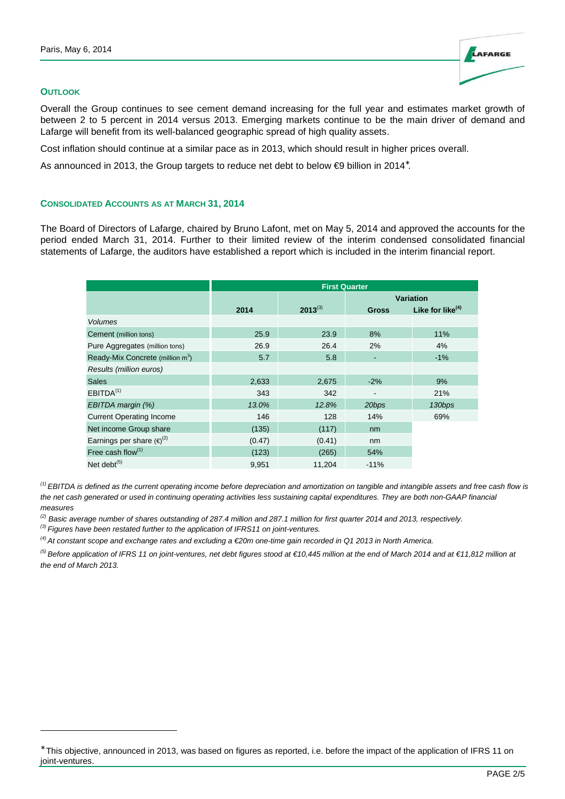#### **OUTLOOK**

l

Overall the Group continues to see cement demand increasing for the full year and estimates market growth of between 2 to 5 percent in 2014 versus 2013. Emerging markets continue to be the main driver of demand and Lafarge will benefit from its well-balanced geographic spread of high quality assets.

Cost inflation should continue at a similar pace as in 2013, which should result in higher prices overall.

As announced in 2013, the Group targets to reduce net debt to below €9 billion in 2014<sup>\*</sup>.

#### **CONSOLIDATED ACCOUNTS AS AT MARCH 31, 2014**

The Board of Directors of Lafarge, chaired by Bruno Lafont, met on May 5, 2014 and approved the accounts for the period ended March 31, 2014. Further to their limited review of the interim condensed consolidated financial statements of Lafarge, the auditors have established a report which is included in the interim financial report.

|                                              | <b>First Quarter</b> |              |                  |                     |
|----------------------------------------------|----------------------|--------------|------------------|---------------------|
|                                              |                      |              | <b>Variation</b> |                     |
|                                              | 2014                 | $2013^{(3)}$ | <b>Gross</b>     | Like for like $(4)$ |
| <b>Volumes</b>                               |                      |              |                  |                     |
| Cement (million tons)                        | 25.9                 | 23.9         | 8%               | 11%                 |
| Pure Aggregates (million tons)               | 26.9                 | 26.4         | 2%               | 4%                  |
| Ready-Mix Concrete (million m <sup>3</sup> ) | 5.7                  | 5.8          |                  | $-1%$               |
| Results (million euros)                      |                      |              |                  |                     |
| <b>Sales</b>                                 | 2,633                | 2,675        | $-2%$            | 9%                  |
| EBITDA <sup>(1)</sup>                        | 343                  | 342          |                  | 21%                 |
| EBITDA margin (%)                            | 13.0%                | 12.8%        | 20bps            | 130bps              |
| <b>Current Operating Income</b>              | 146                  | 128          | 14%              | 69%                 |
| Net income Group share                       | (135)                | (117)        | nm               |                     |
| Earnings per share $(\epsilon)^{(2)}$        | (0.47)               | (0.41)       | nm               |                     |
| Free cash flow <sup>(1)</sup>                | (123)                | (265)        | 54%              |                     |
| Net debt $(5)$                               | 9,951                | 11,204       | $-11%$           |                     |

 $<sup>(1)</sup>$  EBITDA is defined as the current operating income before depreciation and amortization on tangible and intangible assets and free cash flow is</sup> the net cash generated or used in continuing operating activities less sustaining capital expenditures. They are both non-GAAP financial measures

 $^{(2)}$  Basic average number of shares outstanding of 287.4 million and 287.1 million for first quarter 2014 and 2013, respectively.

 $^{(3)}$  Figures have been restated further to the application of IFRS11 on joint-ventures.

 $^{(4)}$  At constant scope and exchange rates and excluding a  $E$ 20m one-time gain recorded in Q1 2013 in North America.

<sup>(5)</sup> Before application of IFRS 11 on joint-ventures, net debt figures stood at €10,445 million at the end of March 2014 and at €11,812 million at the end of March 2013.

LAFARGE

<sup>∗</sup> This objective, announced in 2013, was based on figures as reported, i.e. before the impact of the application of IFRS 11 on joint-ventures.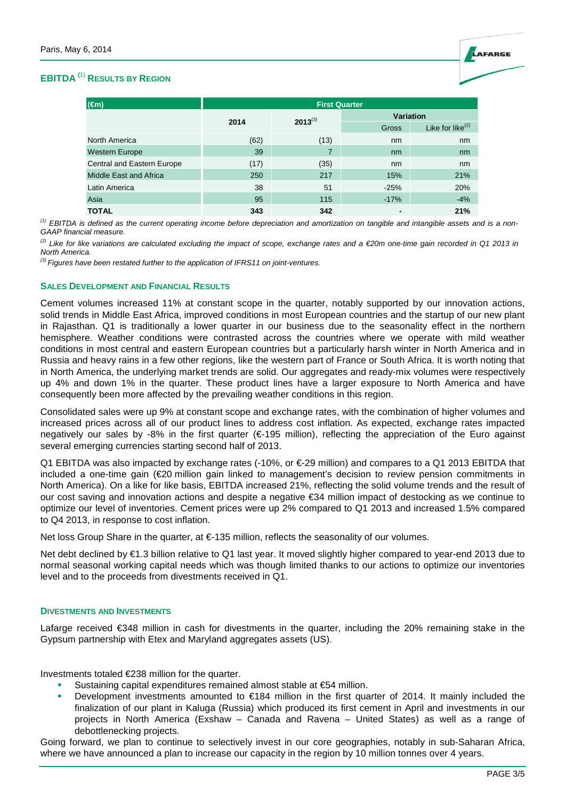

# **EBITDA (**1) **RESULTS BY REGION**

| $(\epsilon m)$             | <b>First Quarter</b> |              |                  |                        |  |
|----------------------------|----------------------|--------------|------------------|------------------------|--|
|                            |                      | $2013^{(3)}$ | <b>Variation</b> |                        |  |
|                            | 2014                 |              | Gross            | Like for like $^{(2)}$ |  |
| North America              | (62)                 | (13)         | nm               | nm                     |  |
| <b>Western Europe</b>      | 39                   | 7            | nm               | nm                     |  |
| Central and Eastern Europe | (17)                 | (35)         | nm               | nm                     |  |
| Middle East and Africa     | 250                  | 217          | 15%              | 21%                    |  |
| Latin America              | 38                   | 51           | $-25%$           | 20%                    |  |
| Asia                       | 95                   | 115          | $-17%$           | $-4%$                  |  |
| <b>TOTAL</b>               | 343                  | 342          |                  | 21%                    |  |

 $^{(1)}$  EBITDA is defined as the current operating income before depreciation and amortization on tangible and intangible assets and is a non-GAAP financial measure.

<sup>(2)</sup> Like for like variations are calculated excluding the impact of scope, exchange rates and a €20m one-time gain recorded in Q1 2013 in North America.

 $^{(3)}$  Figures have been restated further to the application of IFRS11 on joint-ventures.

#### **SALES DEVELOPMENT AND FINANCIAL RESULTS**

Cement volumes increased 11% at constant scope in the quarter, notably supported by our innovation actions, solid trends in Middle East Africa, improved conditions in most European countries and the startup of our new plant in Rajasthan. Q1 is traditionally a lower quarter in our business due to the seasonality effect in the northern hemisphere. Weather conditions were contrasted across the countries where we operate with mild weather conditions in most central and eastern European countries but a particularly harsh winter in North America and in Russia and heavy rains in a few other regions, like the western part of France or South Africa. It is worth noting that in North America, the underlying market trends are solid. Our aggregates and ready-mix volumes were respectively up 4% and down 1% in the quarter. These product lines have a larger exposure to North America and have consequently been more affected by the prevailing weather conditions in this region.

Consolidated sales were up 9% at constant scope and exchange rates, with the combination of higher volumes and increased prices across all of our product lines to address cost inflation. As expected, exchange rates impacted negatively our sales by -8% in the first quarter (€-195 million), reflecting the appreciation of the Euro against several emerging currencies starting second half of 2013.

Q1 EBITDA was also impacted by exchange rates (-10%, or €-29 million) and compares to a Q1 2013 EBITDA that included a one-time gain (€20 million gain linked to management's decision to review pension commitments in North America). On a like for like basis, EBITDA increased 21%, reflecting the solid volume trends and the result of our cost saving and innovation actions and despite a negative €34 million impact of destocking as we continue to optimize our level of inventories. Cement prices were up 2% compared to Q1 2013 and increased 1.5% compared to Q4 2013, in response to cost inflation.

Net loss Group Share in the quarter, at €-135 million, reflects the seasonality of our volumes.

Net debt declined by €1.3 billion relative to Q1 last year. It moved slightly higher compared to year-end 2013 due to normal seasonal working capital needs which was though limited thanks to our actions to optimize our inventories level and to the proceeds from divestments received in Q1.

#### **DIVESTMENTS AND INVESTMENTS**

Lafarge received €348 million in cash for divestments in the quarter, including the 20% remaining stake in the Gypsum partnership with Etex and Maryland aggregates assets (US).

Investments totaled €238 million for the quarter.

- Sustaining capital expenditures remained almost stable at €54 million.
- Development investments amounted to €184 million in the first quarter of 2014. It mainly included the finalization of our plant in Kaluga (Russia) which produced its first cement in April and investments in our projects in North America (Exshaw – Canada and Ravena – United States) as well as a range of debottlenecking projects.

Going forward, we plan to continue to selectively invest in our core geographies, notably in sub-Saharan Africa, where we have announced a plan to increase our capacity in the region by 10 million tonnes over 4 years.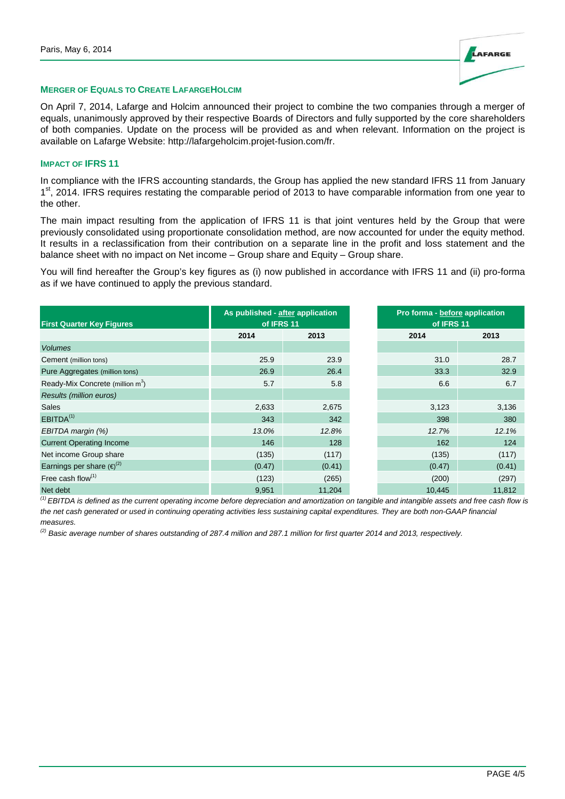

#### **MERGER OF EQUALS TO CREATE LAFARGEHOLCIM**

On April 7, 2014, Lafarge and Holcim announced their project to combine the two companies through a merger of equals, unanimously approved by their respective Boards of Directors and fully supported by the core shareholders of both companies. Update on the process will be provided as and when relevant. Information on the project is available on Lafarge Website: http://lafargeholcim.projet-fusion.com/fr.

### **IMPACT OF IFRS 11**

In compliance with the IFRS accounting standards, the Group has applied the new standard IFRS 11 from January 1<sup>st</sup>, 2014. IFRS requires restating the comparable period of 2013 to have comparable information from one year to the other.

The main impact resulting from the application of IFRS 11 is that joint ventures held by the Group that were previously consolidated using proportionate consolidation method, are now accounted for under the equity method. It results in a reclassification from their contribution on a separate line in the profit and loss statement and the balance sheet with no impact on Net income – Group share and Equity – Group share.

You will find hereafter the Group's key figures as (i) now published in accordance with IFRS 11 and (ii) pro-forma as if we have continued to apply the previous standard.

| <b>First Quarter Key Figures</b>             | As published - after application<br>of IFRS 11 |        | Pro forma - before application<br>of IFRS 11 |        |
|----------------------------------------------|------------------------------------------------|--------|----------------------------------------------|--------|
|                                              | 2014                                           | 2013   | 2014                                         | 2013   |
| <b>Volumes</b>                               |                                                |        |                                              |        |
| Cement (million tons)                        | 25.9                                           | 23.9   | 31.0                                         | 28.7   |
| Pure Aggregates (million tons)               | 26.9                                           | 26.4   | 33.3                                         | 32.9   |
| Ready-Mix Concrete (million m <sup>3</sup> ) | 5.7                                            | 5.8    | 6.6                                          | 6.7    |
| <b>Results (million euros)</b>               |                                                |        |                                              |        |
| Sales                                        | 2,633                                          | 2,675  | 3,123                                        | 3,136  |
| EBITDA <sup>(1)</sup>                        | 343                                            | 342    | 398                                          | 380    |
| EBITDA margin (%)                            | 13.0%                                          | 12.8%  | 12.7%                                        | 12.1%  |
| <b>Current Operating Income</b>              | 146                                            | 128    | 162                                          | 124    |
| Net income Group share                       | (135)                                          | (117)  | (135)                                        | (117)  |
| Earnings per share $(e)^{(2)}$               | (0.47)                                         | (0.41) | (0.47)                                       | (0.41) |
| Free cash flow $(1)$                         | (123)                                          | (265)  | (200)                                        | (297)  |
| Net debt                                     | 9,951                                          | 11,204 | 10,445                                       | 11,812 |

<sup>(1)</sup> EBITDA is defined as the current operating income before depreciation and amortization on tangible and intangible assets and free cash flow is the net cash generated or used in continuing operating activities less sustaining capital expenditures. They are both non-GAAP financial measures.

 $^{(2)}$  Basic average number of shares outstanding of 287.4 million and 287.1 million for first quarter 2014 and 2013, respectively.